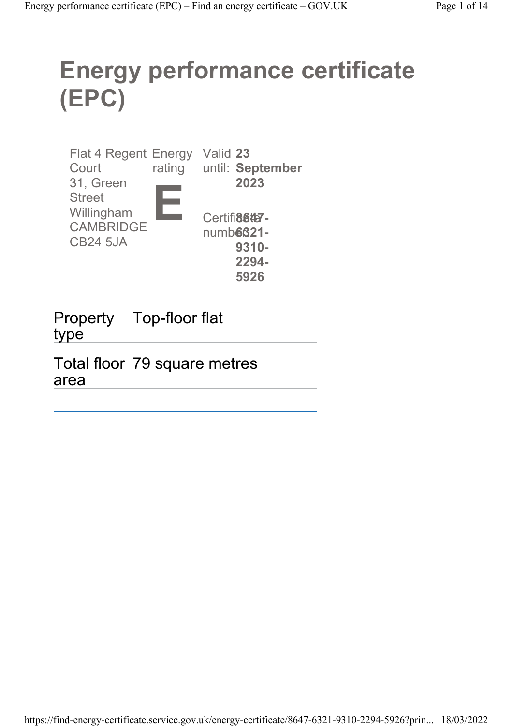# Energy performance certificate (EPC)

| <b>Flat 4 Regent Energy</b> |        | Valid 23         |
|-----------------------------|--------|------------------|
| Court                       | rating | until: September |
| 31, Green                   |        | 2023             |
| <b>Street</b>               |        |                  |
| Willingham                  |        | Certifi8647-     |
| <b>CAMBRIDGE</b>            |        | numb66321-       |
| <b>CB24 5JA</b>             |        | 9310-            |
|                             |        | 2294-            |
|                             |        | 5926             |

Property Top-floor flat type

Total floor 79 square metres area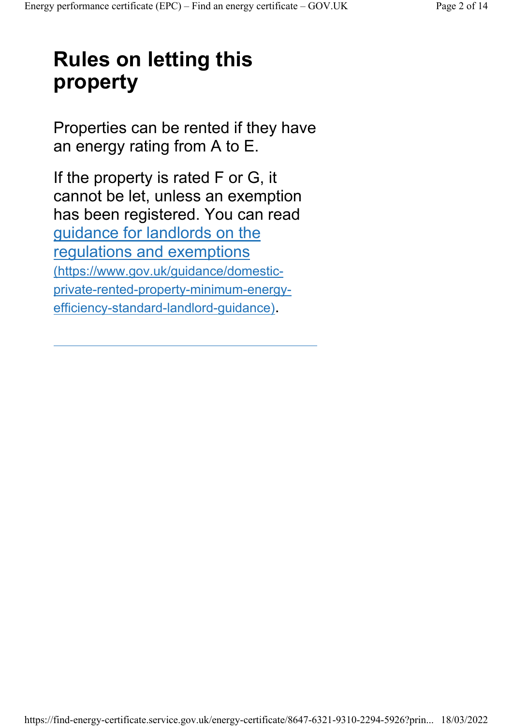## Rules on letting this property

Properties can be rented if they have an energy rating from A to E.

If the property is rated F or G, it cannot be let, unless an exemption has been registered. You can read guidance for landlords on the regulations and exemptions (https://www.gov.uk/guidance/domesticprivate-rented-property-minimum-energyefficiency-standard-landlord-guidance).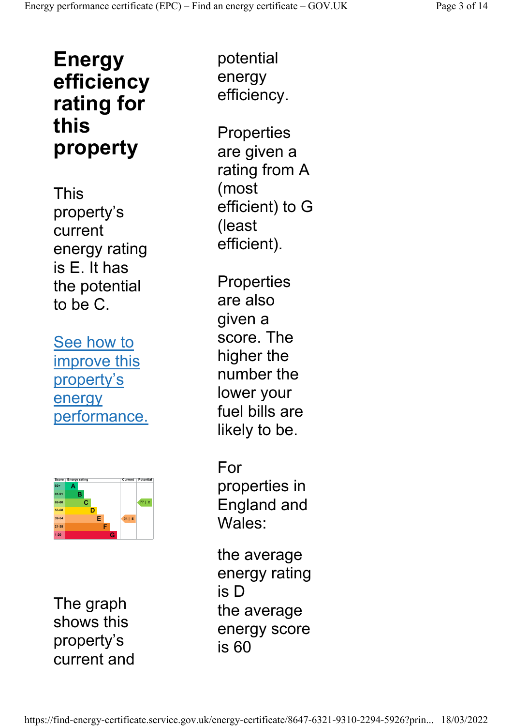### Energy efficiency rating for this property

This property's current energy rating is E. It has the potential to be C.

See how to improve this property's energy performance.



The graph shows this property's current and

potential energy efficiency.

**Properties** are given a rating from A (most efficient) to G (least efficient).

**Properties** are also given a score. The higher the number the lower your fuel bills are likely to be.

For properties in England and Wales:

the average energy rating is D the average energy score is 60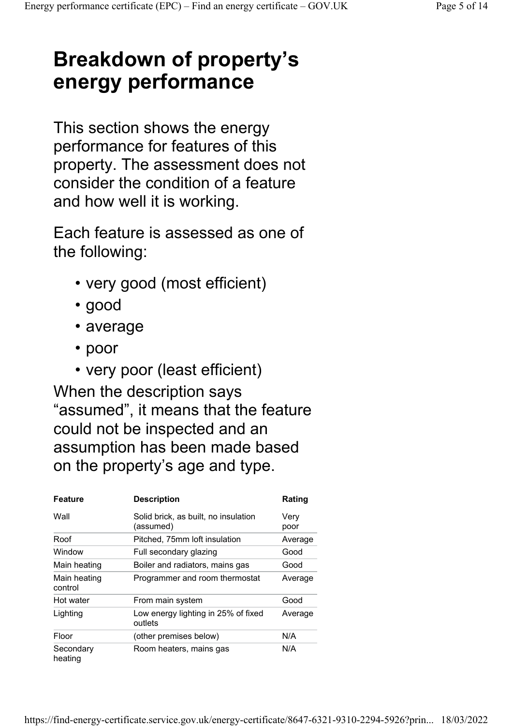### Breakdown of property's energy performance

This section shows the energy performance for features of this property. The assessment does not consider the condition of a feature and how well it is working.

Each feature is assessed as one of the following:

- very good (most efficient)
- good
- average
- poor
- very poor (least efficient)

When the description says "assumed", it means that the feature could not be inspected and an assumption has been made based on the property's age and type.

| <b>Feature</b>          | <b>Description</b>                                | Rating       |
|-------------------------|---------------------------------------------------|--------------|
| Wall                    | Solid brick, as built, no insulation<br>(assumed) | Verv<br>poor |
| Roof                    | Pitched, 75mm loft insulation                     | Average      |
| Window                  | Full secondary glazing                            | Good         |
| Main heating            | Boiler and radiators, mains gas                   | Good         |
| Main heating<br>control | Programmer and room thermostat                    | Average      |
| Hot water               | From main system                                  | Good         |
| Lighting                | Low energy lighting in 25% of fixed<br>outlets    | Average      |
| Floor                   | (other premises below)                            | N/A          |
| Secondary<br>heating    | Room heaters, mains gas                           | N/A          |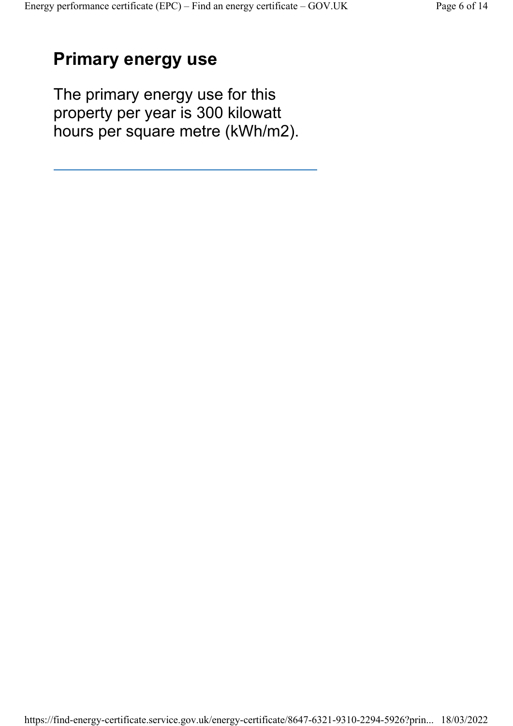#### Primary energy use

The primary energy use for this property per year is 300 kilowatt hours per square metre (kWh/m2).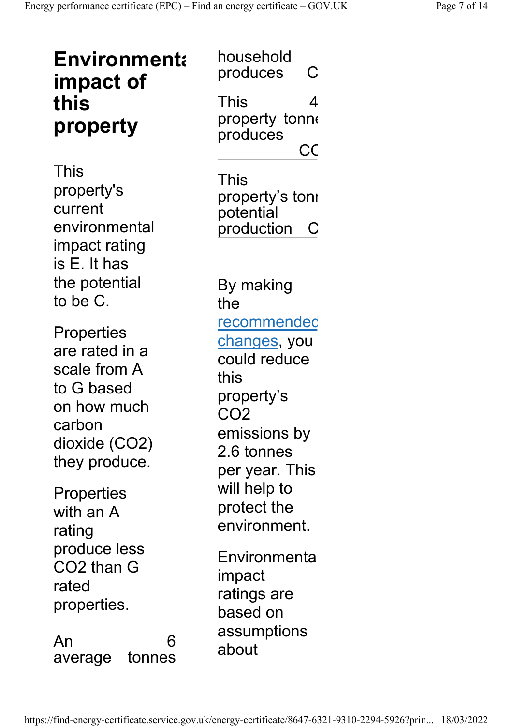| <b>Environmenta</b><br>impact of<br>this<br>property                                                                         | household<br>produces<br>С<br>This<br>4<br>property tonne<br>produces                                                                       |
|------------------------------------------------------------------------------------------------------------------------------|---------------------------------------------------------------------------------------------------------------------------------------------|
| This<br>property's<br>current<br>environmental<br>impact rating<br>is E. It has                                              | CC<br>This<br>property's tonı<br>potential<br>production                                                                                    |
| the potential<br>to be C.                                                                                                    | By making<br>the                                                                                                                            |
| <b>Properties</b><br>are rated in a<br>scale from A<br>to G based<br>on how much<br>carbon<br>dioxide (CO2)<br>they produce. | <u>recommendec</u><br>changes, you<br>could reduce<br>this<br>property's<br>CO <sub>2</sub><br>emissions by<br>2.6 tonnes<br>per year. This |
| Properties<br>with an A<br>rating                                                                                            | will help to<br>protect the<br>environment.                                                                                                 |
| produce less<br>CO2 than G<br>rated<br>properties.                                                                           | Environmenta<br>impact<br>ratings are<br>based on                                                                                           |
| An<br>6<br>tonnes<br>average                                                                                                 | assumptions<br>about                                                                                                                        |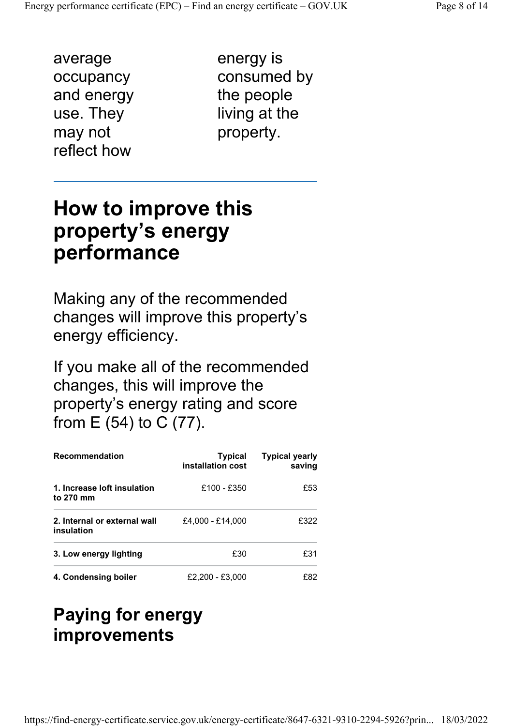average occupancy and energy use. They may not reflect how

energy is consumed by the people living at the property.

#### How to improve this property's energy performance

Making any of the recommended changes will improve this property's energy efficiency.

If you make all of the recommended changes, this will improve the property's energy rating and score from E (54) to C (77).

| <b>Recommendation</b>                      | Typical<br>installation cost | <b>Typical yearly</b><br>saving |  |
|--------------------------------------------|------------------------------|---------------------------------|--|
| 1. Increase loft insulation<br>to 270 mm   | $£100 - £350$                | £53                             |  |
| 2. Internal or external wall<br>insulation | £4.000 - £14.000             | £322                            |  |
| 3. Low energy lighting                     | £30                          | £31                             |  |
| 4. Condensing boiler                       | £2.200 - £3.000              | F82                             |  |

#### Paying for energy improvements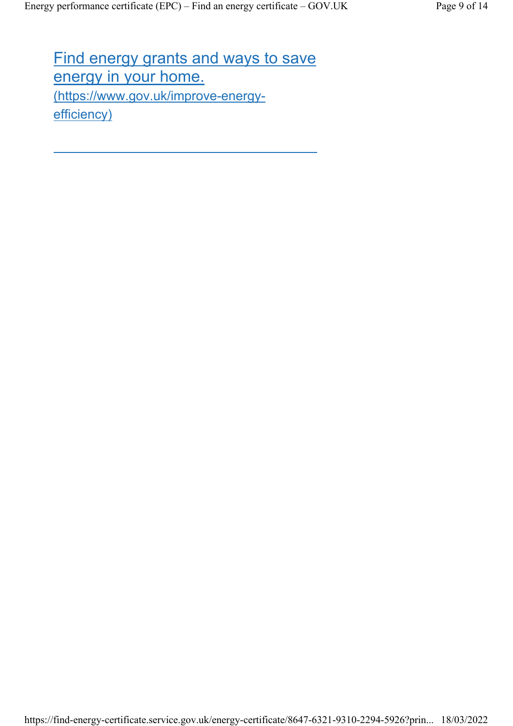Find energy grants and ways to save energy in your home. (https://www.gov.uk/improve-energyefficiency)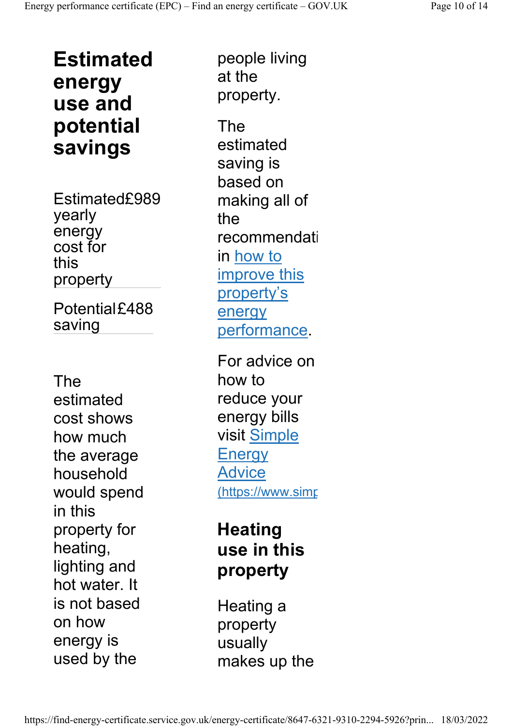Estimated energy use and potential savings

Estimated£989 yearly energy cost for this property

Potential£488 saving

The estimated cost shows how much the average household would spend in this property for heating, lighting and hot water. It is not based on how energy is used by the

people living at the property.

The estimated saving is based on making all of the recommendati in how to improve this property's energy performance.

For advice on how to reduce your energy bills visit Simple **Energy** Advice (https://www.simp

#### **Heating** use in this property

Heating a property usually makes up the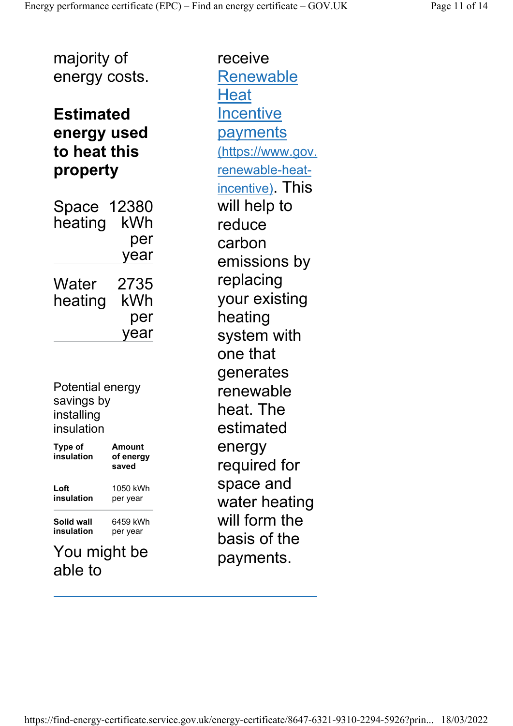majority of energy costs.

#### Estimated energy used to heat this property

Space 12380 heating kWh per year **Water** heating 2735 kWh per year

Potential energy savings by installing insulation

| <b>Type of</b><br>insulation                     | Amount<br>of energy<br>saved |  |
|--------------------------------------------------|------------------------------|--|
| Loft<br>insulation                               | 1050 kWh<br>per year         |  |
| 6459 kWh<br>Solid wall<br>insulation<br>per year |                              |  |
|                                                  | might he                     |  |

You might be able to

receive Renewable **Heat Incentive** payments (https://www.gov. renewable-heatincentive). This will help to reduce carbon emissions by replacing your existing heating system with one that generates renewable heat. The estimated energy required for space and water heating will form the basis of the payments.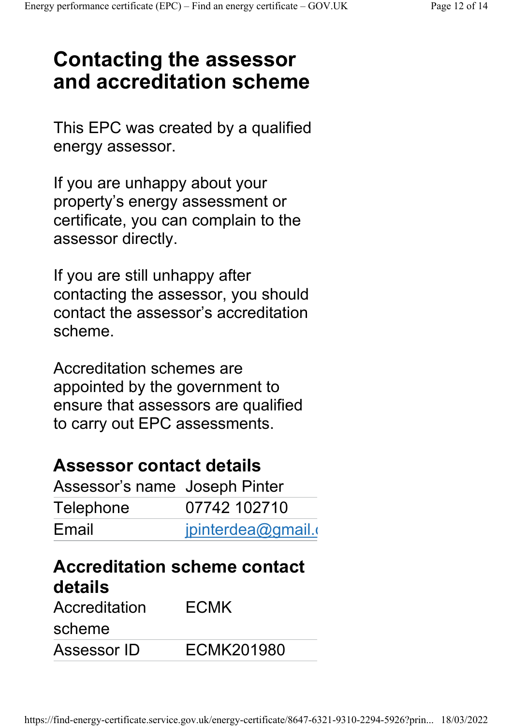### Contacting the assessor and accreditation scheme

This EPC was created by a qualified energy assessor.

If you are unhappy about your property's energy assessment or certificate, you can complain to the assessor directly.

If you are still unhappy after contacting the assessor, you should contact the assessor's accreditation scheme.

Accreditation schemes are appointed by the government to ensure that assessors are qualified to carry out EPC assessments.

#### Assessor contact details

| Assessor's name Joseph Pinter |                    |
|-------------------------------|--------------------|
| Telephone                     | 07742 102710       |
| Email                         | jpinterdea@gmail.o |

### Accreditation scheme contact details

| Accreditation | <b>ECMK</b> |  |  |
|---------------|-------------|--|--|
| scheme        |             |  |  |
| Assessor ID   | ECMK201980  |  |  |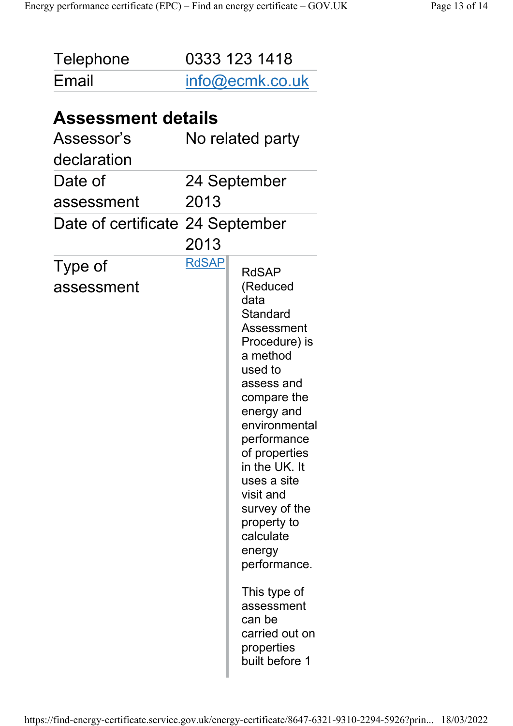| Telephone                                                 | 0333 123 1418 |                                                                                                                                                                                                                                                                                                                                                                                                              |
|-----------------------------------------------------------|---------------|--------------------------------------------------------------------------------------------------------------------------------------------------------------------------------------------------------------------------------------------------------------------------------------------------------------------------------------------------------------------------------------------------------------|
| Email                                                     |               | info@ecmk.co.uk                                                                                                                                                                                                                                                                                                                                                                                              |
| <b>Assessment details</b><br>Assessor's<br>declaration    |               | No related party                                                                                                                                                                                                                                                                                                                                                                                             |
| Date of<br>assessment<br>Date of certificate 24 September | 2013<br>2013  | 24 September                                                                                                                                                                                                                                                                                                                                                                                                 |
| Type of<br>assessment                                     | <b>RdSAP</b>  | <b>RdSAP</b><br>(Reduced<br>data<br>Standard<br>Assessment<br>Procedure) is<br>a method<br>used to<br>assess and<br>compare the<br>energy and<br>environmental<br>performance<br>of properties<br>in the UK. It<br>uses a site<br>visit and<br>survey of the<br>property to<br>calculate<br>energy<br>performance.<br>This type of<br>assessment<br>can be<br>carried out on<br>properties<br>built before 1 |